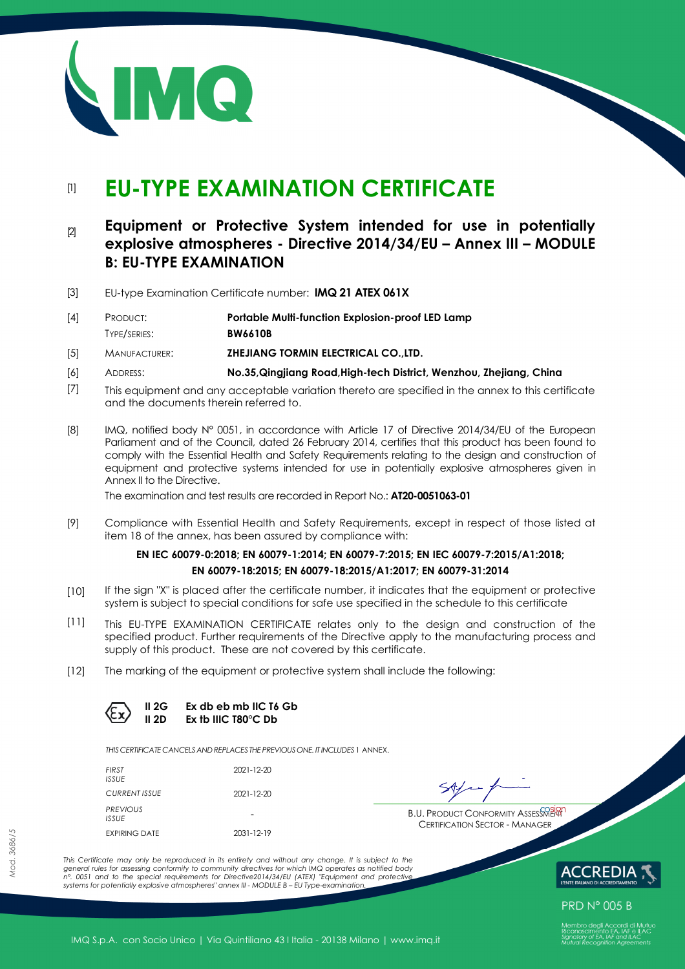

# [1] **EU-TYPE EXAMINATION CERTIFICATE**

# [2] **Equipment or Protective System intended for use in potentially explosive atmospheres - Directive 2014/34/EU – Annex III – MODULE B: EU-TYPE EXAMINATION**

[3] EU-type Examination Certificate number: **IMQ 21 ATEX 061X** 

| [4] | Product:     | Portable Multi-function Explosion-proof LED Lamp |
|-----|--------------|--------------------------------------------------|
|     | TYPE/SERIES: | <b>BW6610B</b>                                   |

- [5] MANUFACTURER: **ZHEJIANG TORMIN ELECTRICAL CO.,LTD.**
- [6] ADDRESS: **No.35,Qingjiang Road,High-tech District, Wenzhou, Zhejiang, China**
- [7] This equipment and any acceptable variation thereto are specified in the annex to this certificate and the documents therein referred to.
- [8] IMQ, notified body N° 0051, in accordance with Article 17 of Directive 2014/34/EU of the European Parliament and of the Council, dated 26 February 2014, certifies that this product has been found to comply with the Essential Health and Safety Requirements relating to the design and construction of equipment and protective systems intended for use in potentially explosive atmospheres given in Annex II to the Directive.

The examination and test results are recorded in Report No.: **AT20-0051063-01**

[9] Compliance with Essential Health and Safety Requirements, except in respect of those listed at item 18 of the annex, has been assured by compliance with:

## **EN IEC 60079-0:2018; EN 60079-1:2014; EN 60079-7:2015; EN IEC 60079-7:2015/A1:2018; EN 60079-18:2015; EN 60079-18:2015/A1:2017; EN 60079-31:2014**

- [10] If the sign "X" is placed after the certificate number, it indicates that the equipment or protective system is subject to special conditions for safe use specified in the schedule to this certificate
- [11] This EU-TYPE EXAMINATION CERTIFICATE relates only to the design and construction of the specified product. Further requirements of the Directive apply to the manufacturing process and supply of this product. These are not covered by this certificate.
- [12] The marking of the equipment or protective system shall include the following:

**II 2G Ex db eb mb IIC T6 Gb II 2D Ex tb IIIC T80°C Db** 

*THIS CERTIFICATE CANCELS ANDREPLACES THE PREVIOUS ONE. IT INCLUDES* 1 ANNEX.

| FIRST<br>ISSUE       | 2021-12-20 |
|----------------------|------------|
| CURRENT ISSUE        | 2021-12-20 |
| PREVIOUS<br>ISSUE    |            |
| <b>EXPIRING DATE</b> | 2031-12-19 |

**B.U. PRODUCT CONFORMITY ASSESSMENT** CERTIFICATION SECTOR - MANAGER

*This Certificate may only be reproduced in its entirety and without any change. It is subject to the general rules for assessing conformity to community directives for which IMQ operates as notified body n°. 0051 and to the special requirements for Directive2014/34/EU (ATEX) "Equipment and protective systems for potentially explosive atmospheres" annex III - MODULE B – EU Type-examination.* 



**PRD N° 005 B** 

IMQ S.p.A. con Socio Unico | Via Quintiliano 43 I Italia - 20138 Milano | www.imq.it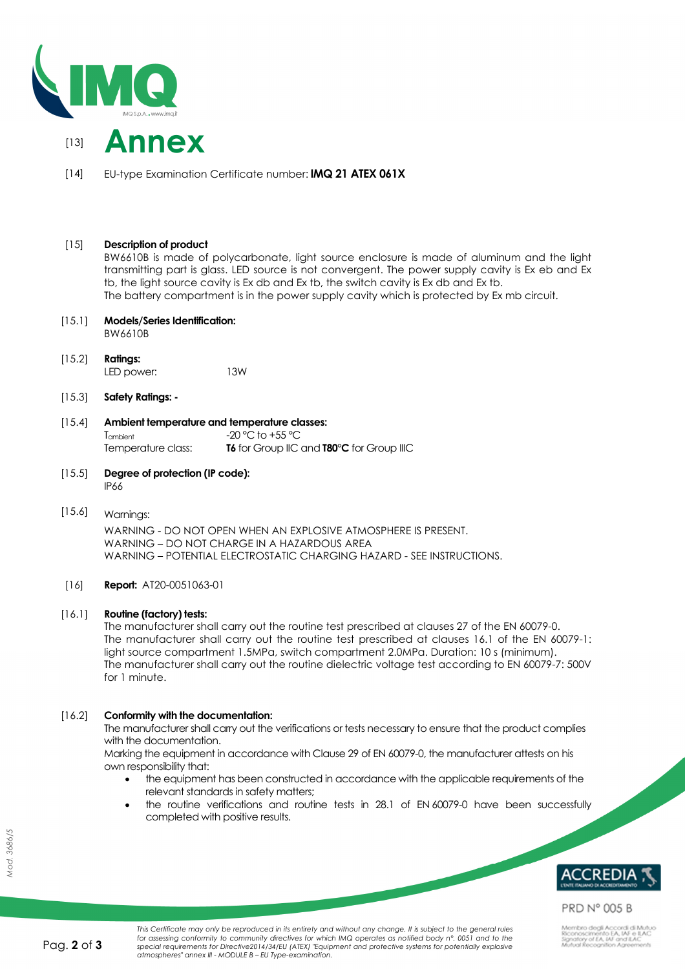



[14] EU-type Examination Certificate number: **IMQ 21 ATEX 061X**

# [15] **Description of product**

BW6610B is made of polycarbonate, light source enclosure is made of aluminum and the light transmitting part is glass. LED source is not convergent. The power supply cavity is Ex eb and Ex tb, the light source cavity is Ex db and Ex tb, the switch cavity is Ex db and Ex tb. The battery compartment is in the power supply cavity which is protected by Ex mb circuit.

#### [15.1] **Models/Series Identification:**

BW6610B

- [15.2] **Ratings:**  LED power: 13W
- [15.3] **Safety Ratings:**

#### [15.4] **Ambient temperature and temperature classes:**   $T_{\text{ambient}}$   $-20 \degree C$  to  $+55 \degree C$

Temperature class: **T6** for Group IIC and **T80°C** for Group IIIC

- [15.5] **Degree of protection (IP code):**  IP66
- [15.6] Warnings:

WARNING - DO NOT OPEN WHEN AN EXPLOSIVE ATMOSPHERE IS PRESENT. WARNING – DO NOT CHARGE IN A HAZARDOUS AREA WARNING – POTENTIAL ELECTROSTATIC CHARGING HAZARD - SEE INSTRUCTIONS.

# [16] **Report:** AT20-0051063-01

# [16.1] **Routine (factory) tests:**

The manufacturer shall carry out the routine test prescribed at clauses 27 of the EN 60079-0. The manufacturer shall carry out the routine test prescribed at clauses 16.1 of the EN 60079-1: light source compartment 1.5MPa, switch compartment 2.0MPa. Duration: 10 s (minimum). The manufacturer shall carry out the routine dielectric voltage test according to EN 60079-7: 500V for 1 minute.

# [16.2] **Conformity with the documentation:**

The manufacturer shall carry out the verifications or tests necessary to ensure that the product complies with the documentation.

Marking the equipment in accordance with Clause 29 of EN 60079-0, the manufacturer attests on his own responsibility that:

- the equipment has been constructed in accordance with the applicable requirements of the relevant standards in safety matters;
- the routine verifications and routine tests in 28.1 of EN 60079-0 have been successfully completed with positive results.



**PRD N° 005 B**